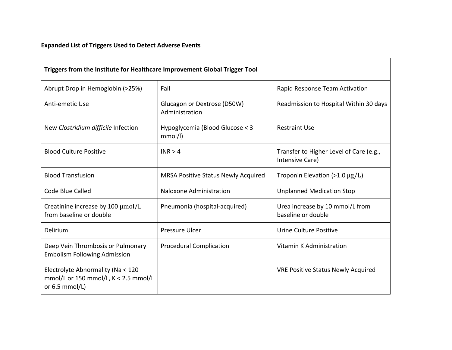## **Expanded List of Triggers Used to Detect Adverse Events**

| Triggers from the Institute for Healthcare Improvement Global Trigger Tool                      |                                               |                                                            |  |  |  |  |
|-------------------------------------------------------------------------------------------------|-----------------------------------------------|------------------------------------------------------------|--|--|--|--|
| Abrupt Drop in Hemoglobin (>25%)                                                                | Fall                                          | Rapid Response Team Activation                             |  |  |  |  |
| Anti-emetic Use                                                                                 | Glucagon or Dextrose (D50W)<br>Administration | Readmission to Hospital Within 30 days                     |  |  |  |  |
| New Clostridium difficile Infection                                                             | Hypoglycemia (Blood Glucose < 3<br>mmol/l)    | <b>Restraint Use</b>                                       |  |  |  |  |
| <b>Blood Culture Positive</b>                                                                   | INR > 4                                       | Transfer to Higher Level of Care (e.g.,<br>Intensive Care) |  |  |  |  |
| <b>Blood Transfusion</b>                                                                        | <b>MRSA Positive Status Newly Acquired</b>    | Troponin Elevation (>1.0 $\mu$ g/L)                        |  |  |  |  |
| Code Blue Called                                                                                | Naloxone Administration                       | <b>Unplanned Medication Stop</b>                           |  |  |  |  |
| Creatinine increase by 100 µmol/L<br>from baseline or double                                    | Pneumonia (hospital-acquired)                 | Urea increase by 10 mmol/L from<br>baseline or double      |  |  |  |  |
| Delirium                                                                                        | <b>Pressure Ulcer</b>                         | Urine Culture Positive                                     |  |  |  |  |
| Deep Vein Thrombosis or Pulmonary<br><b>Embolism Following Admission</b>                        | <b>Procedural Complication</b>                | Vitamin K Administration                                   |  |  |  |  |
| Electrolyte Abnormality (Na < 120<br>mmol/L or 150 mmol/L, $K < 2.5$ mmol/L<br>or $6.5$ mmol/L) |                                               | <b>VRE Positive Status Newly Acquired</b>                  |  |  |  |  |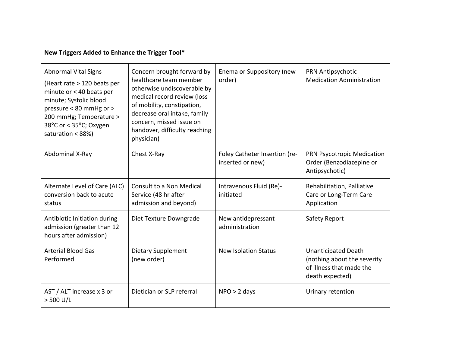| New Triggers Added to Enhance the Trigger Tool*                                                                                                                                                                       |                                                                                                                                                                                                                                                             |                                                   |                                                                                                          |  |  |
|-----------------------------------------------------------------------------------------------------------------------------------------------------------------------------------------------------------------------|-------------------------------------------------------------------------------------------------------------------------------------------------------------------------------------------------------------------------------------------------------------|---------------------------------------------------|----------------------------------------------------------------------------------------------------------|--|--|
| <b>Abnormal Vital Signs</b><br>(Heart rate > 120 beats per<br>minute or < 40 beats per<br>minute; Systolic blood<br>pressure < 80 mmHg or ><br>200 mmHg; Temperature ><br>38°C or < 35°C; Oxygen<br>saturation < 88%) | Concern brought forward by<br>healthcare team member<br>otherwise undiscoverable by<br>medical record review (loss<br>of mobility, constipation,<br>decrease oral intake, family<br>concern, missed issue on<br>handover, difficulty reaching<br>physician) | Enema or Suppository (new<br>order)               | PRN Antipsychotic<br><b>Medication Administration</b>                                                    |  |  |
| Abdominal X-Ray                                                                                                                                                                                                       | Chest X-Ray                                                                                                                                                                                                                                                 | Foley Catheter Insertion (re-<br>inserted or new) | PRN Psycotropic Medication<br>Order (Benzodiazepine or<br>Antipsychotic)                                 |  |  |
| Alternate Level of Care (ALC)<br>conversion back to acute<br>status                                                                                                                                                   | Consult to a Non Medical<br>Service (48 hr after<br>admission and beyond)                                                                                                                                                                                   | Intravenous Fluid (Re)-<br>initiated              | Rehabilitation, Palliative<br>Care or Long-Term Care<br>Application                                      |  |  |
| Antibiotic Initiation during<br>admission (greater than 12<br>hours after admission)                                                                                                                                  | Diet Texture Downgrade                                                                                                                                                                                                                                      | New antidepressant<br>administration              | Safety Report                                                                                            |  |  |
| <b>Arterial Blood Gas</b><br>Performed                                                                                                                                                                                | <b>Dietary Supplement</b><br>(new order)                                                                                                                                                                                                                    | <b>New Isolation Status</b>                       | <b>Unanticipated Death</b><br>(nothing about the severity<br>of illness that made the<br>death expected) |  |  |
| AST / ALT increase x 3 or<br>$>$ 500 U/L                                                                                                                                                                              | Dietician or SLP referral                                                                                                                                                                                                                                   | $NPO > 2$ days                                    | Urinary retention                                                                                        |  |  |